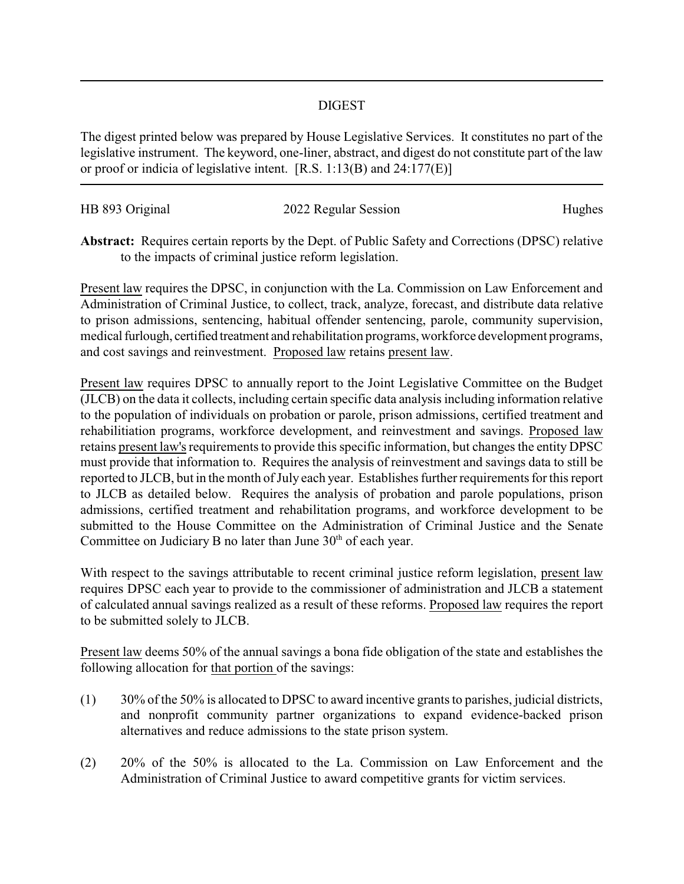## DIGEST

The digest printed below was prepared by House Legislative Services. It constitutes no part of the legislative instrument. The keyword, one-liner, abstract, and digest do not constitute part of the law or proof or indicia of legislative intent. [R.S. 1:13(B) and 24:177(E)]

| HB 893 Original | 2022 Regular Session | Hughes |
|-----------------|----------------------|--------|
|                 |                      |        |

**Abstract:** Requires certain reports by the Dept. of Public Safety and Corrections (DPSC) relative to the impacts of criminal justice reform legislation.

Present law requires the DPSC, in conjunction with the La. Commission on Law Enforcement and Administration of Criminal Justice, to collect, track, analyze, forecast, and distribute data relative to prison admissions, sentencing, habitual offender sentencing, parole, community supervision, medical furlough, certified treatment and rehabilitation programs, workforce development programs, and cost savings and reinvestment. Proposed law retains present law.

Present law requires DPSC to annually report to the Joint Legislative Committee on the Budget (JLCB) on the data it collects, including certain specific data analysis including information relative to the population of individuals on probation or parole, prison admissions, certified treatment and rehabilitiation programs, workforce development, and reinvestment and savings. Proposed law retains present law's requirements to provide this specific information, but changes the entity DPSC must provide that information to. Requires the analysis of reinvestment and savings data to still be reported to JLCB, but in the month of July each year. Establishes further requirements for this report to JLCB as detailed below. Requires the analysis of probation and parole populations, prison admissions, certified treatment and rehabilitation programs, and workforce development to be submitted to the House Committee on the Administration of Criminal Justice and the Senate Committee on Judiciary B no later than June  $30<sup>th</sup>$  of each year.

With respect to the savings attributable to recent criminal justice reform legislation, present law requires DPSC each year to provide to the commissioner of administration and JLCB a statement of calculated annual savings realized as a result of these reforms. Proposed law requires the report to be submitted solely to JLCB.

Present law deems 50% of the annual savings a bona fide obligation of the state and establishes the following allocation for that portion of the savings:

- (1) 30% of the 50% is allocated to DPSC to award incentive grants to parishes, judicial districts, and nonprofit community partner organizations to expand evidence-backed prison alternatives and reduce admissions to the state prison system.
- (2) 20% of the 50% is allocated to the La. Commission on Law Enforcement and the Administration of Criminal Justice to award competitive grants for victim services.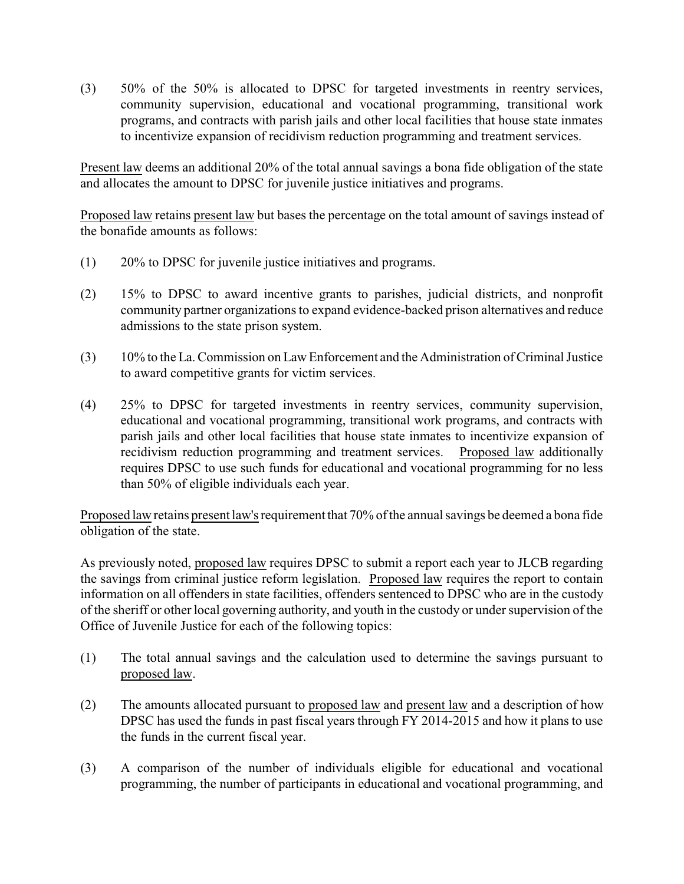(3) 50% of the 50% is allocated to DPSC for targeted investments in reentry services, community supervision, educational and vocational programming, transitional work programs, and contracts with parish jails and other local facilities that house state inmates to incentivize expansion of recidivism reduction programming and treatment services.

Present law deems an additional 20% of the total annual savings a bona fide obligation of the state and allocates the amount to DPSC for juvenile justice initiatives and programs.

Proposed law retains present law but bases the percentage on the total amount of savings instead of the bonafide amounts as follows:

- (1) 20% to DPSC for juvenile justice initiatives and programs.
- (2) 15% to DPSC to award incentive grants to parishes, judicial districts, and nonprofit community partner organizations to expand evidence-backed prison alternatives and reduce admissions to the state prison system.
- (3) 10% to the La. Commission on Law Enforcement and the Administration of Criminal Justice to award competitive grants for victim services.
- (4) 25% to DPSC for targeted investments in reentry services, community supervision, educational and vocational programming, transitional work programs, and contracts with parish jails and other local facilities that house state inmates to incentivize expansion of recidivism reduction programming and treatment services. Proposed law additionally requires DPSC to use such funds for educational and vocational programming for no less than 50% of eligible individuals each year.

Proposed law retains present law's requirement that 70% of the annual savings be deemed a bona fide obligation of the state.

As previously noted, proposed law requires DPSC to submit a report each year to JLCB regarding the savings from criminal justice reform legislation. Proposed law requires the report to contain information on all offenders in state facilities, offenders sentenced to DPSC who are in the custody of the sheriff or other local governing authority, and youth in the custody or under supervision of the Office of Juvenile Justice for each of the following topics:

- (1) The total annual savings and the calculation used to determine the savings pursuant to proposed law.
- (2) The amounts allocated pursuant to proposed law and present law and a description of how DPSC has used the funds in past fiscal years through FY 2014-2015 and how it plans to use the funds in the current fiscal year.
- (3) A comparison of the number of individuals eligible for educational and vocational programming, the number of participants in educational and vocational programming, and